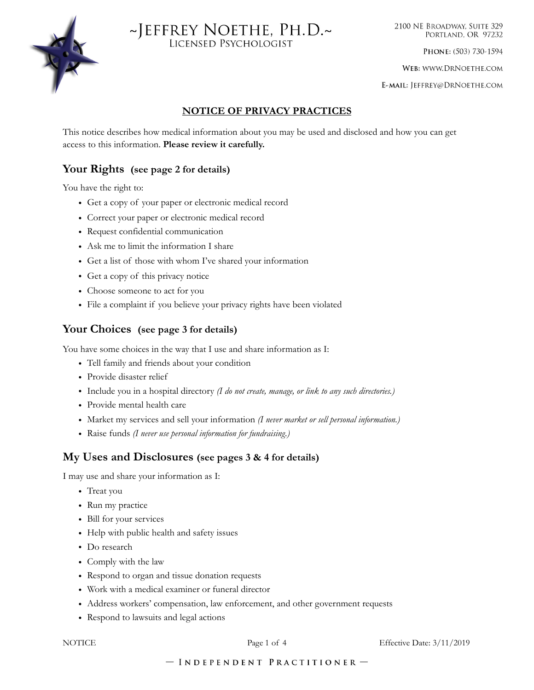



2100 NE BROADWAY, SUITE 329 PORTLAND, OR 97232

PHONE: (503) 730-1594

WEB: WWW.DRNOETHE.COM

E-MAIL: JEFFREY@DRNOETHE.COM

## **NOTICE OF PRIVACY PRACTICES**

This notice describes how medical information about you may be used and disclosed and how you can get access to this information. **Please review it carefully.** 

## **Your Rights (see page 2 for details)**

You have the right to:

- Get a copy of your paper or electronic medical record
- Correct your paper or electronic medical record
- Request confidential communication
- Ask me to limit the information I share
- Get a list of those with whom I've shared your information
- Get a copy of this privacy notice
- Choose someone to act for you
- File a complaint if you believe your privacy rights have been violated

## **Your Choices (see page 3 for details)**

You have some choices in the way that I use and share information as I:

- Tell family and friends about your condition
- Provide disaster relief
- Include you in a hospital directory *(I do not create, manage, or link to any such directories.)*
- Provide mental health care
- Market my services and sell your information *(I never market or sell personal information.)*
- Raise funds *(I never use personal information for fundraising.)*

## **My Uses and Disclosures (see pages 3 & 4 for details)**

I may use and share your information as I:

- Treat you
- Run my practice
- Bill for your services
- Help with public health and safety issues
- Do research
- Comply with the law
- Respond to organ and tissue donation requests
- Work with a medical examiner or funeral director
- Address workers' compensation, law enforcement, and other government requests
- Respond to lawsuits and legal actions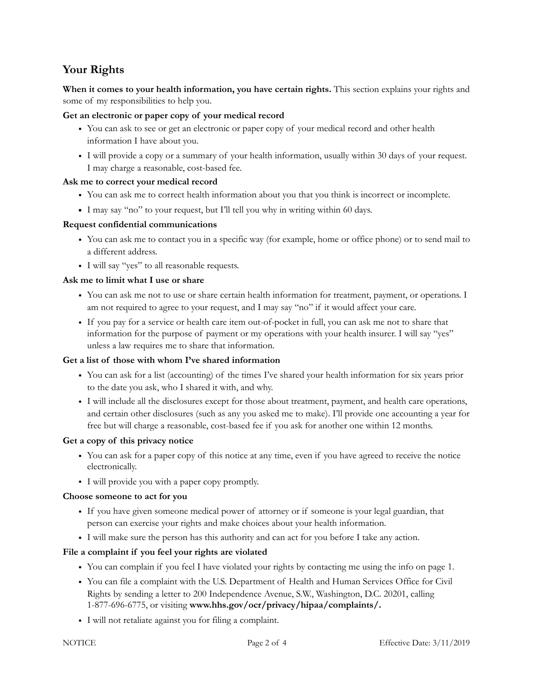# **Your Rights**

**When it comes to your health information, you have certain rights.** This section explains your rights and some of my responsibilities to help you.

## **Get an electronic or paper copy of your medical record**

- You can ask to see or get an electronic or paper copy of your medical record and other health information I have about you.
- I will provide a copy or a summary of your health information, usually within 30 days of your request. I may charge a reasonable, cost-based fee.

## **Ask me to correct your medical record**

- You can ask me to correct health information about you that you think is incorrect or incomplete.
- **•** I may say "no" to your request, but I'll tell you why in writing within 60 days.

## **Request confidential communications**

- You can ask me to contact you in a specific way (for example, home or office phone) or to send mail to a different address.
- I will say "yes" to all reasonable requests.

## **Ask me to limit what I use or share**

- You can ask me not to use or share certain health information for treatment, payment, or operations. I am not required to agree to your request, and I may say "no" if it would affect your care.
- If you pay for a service or health care item out-of-pocket in full, you can ask me not to share that information for the purpose of payment or my operations with your health insurer. I will say "yes" unless a law requires me to share that information.

## **Get a list of those with whom I've shared information**

- You can ask for a list (accounting) of the times I've shared your health information for six years prior to the date you ask, who I shared it with, and why.
- I will include all the disclosures except for those about treatment, payment, and health care operations, and certain other disclosures (such as any you asked me to make). I'll provide one accounting a year for free but will charge a reasonable, cost-based fee if you ask for another one within 12 months.

## **Get a copy of this privacy notice**

- You can ask for a paper copy of this notice at any time, even if you have agreed to receive the notice electronically.
- I will provide you with a paper copy promptly.

## **Choose someone to act for you**

- If you have given someone medical power of attorney or if someone is your legal guardian, that person can exercise your rights and make choices about your health information.
- I will make sure the person has this authority and can act for you before I take any action.

## **File a complaint if you feel your rights are violated**

- You can complain if you feel I have violated your rights by contacting me using the info on page 1.
- You can file a complaint with the U.S. Department of Health and Human Services Office for Civil Rights by sending a letter to 200 Independence Avenue, S.W., Washington, D.C. 20201, calling 1-877-696-6775, or visiting **www.hhs.gov/ocr/privacy/hipaa/complaints/.**
- I will not retaliate against you for filing a complaint.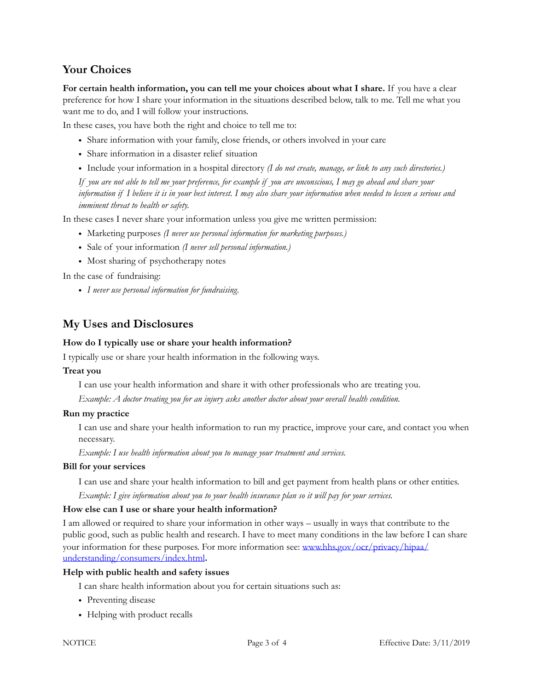## **Your Choices**

**For certain health information, you can tell me your choices about what I share.** If you have a clear preference for how I share your information in the situations described below, talk to me. Tell me what you want me to do, and I will follow your instructions.

In these cases, you have both the right and choice to tell me to:

- Share information with your family, close friends, or others involved in your care
- Share information in a disaster relief situation
- Include your information in a hospital directory *(I do not create, manage, or link to any such directories.)*

*If you are not able to tell me your preference, for example if you are unconscious, I may go ahead and share your information if I believe it is in your best interest. I may also share your information when needed to lessen a serious and imminent threat to health or safety.* 

In these cases I never share your information unless you give me written permission:

- Marketing purposes *(I never use personal information for marketing purposes.)*
- Sale of your information *(I never sell personal information.)*
- Most sharing of psychotherapy notes

In the case of fundraising:

• *I never use personal information for fundraising.*

## **My Uses and Disclosures**

#### **How do I typically use or share your health information?**

I typically use or share your health information in the following ways.

#### **Treat you**

I can use your health information and share it with other professionals who are treating you.

*Example: A doctor treating you for an injury asks another doctor about your overall health condition.*

#### **Run my practice**

I can use and share your health information to run my practice, improve your care, and contact you when necessary.

*Example: I use health information about you to manage your treatment and services.* 

#### **Bill for your services**

I can use and share your health information to bill and get payment from health plans or other entities.

*Example: I give information about you to your health insurance plan so it will pay for your services.* 

#### **How else can I use or share your health information?**

I am allowed or required to share your information in other ways – usually in ways that contribute to the public good, such as public health and research. I have to meet many conditions in the law before I can share your information for these purposes. For more information see: [www.hhs.gov/ocr/privacy/hipaa/](http://www.hhs.gov/ocr/privacy/hipaa/understanding/consumers/index.html) [understanding/consumers/index.html](http://www.hhs.gov/ocr/privacy/hipaa/understanding/consumers/index.html)**.** 

#### **Help with public health and safety issues**

I can share health information about you for certain situations such as:

- Preventing disease
- Helping with product recalls